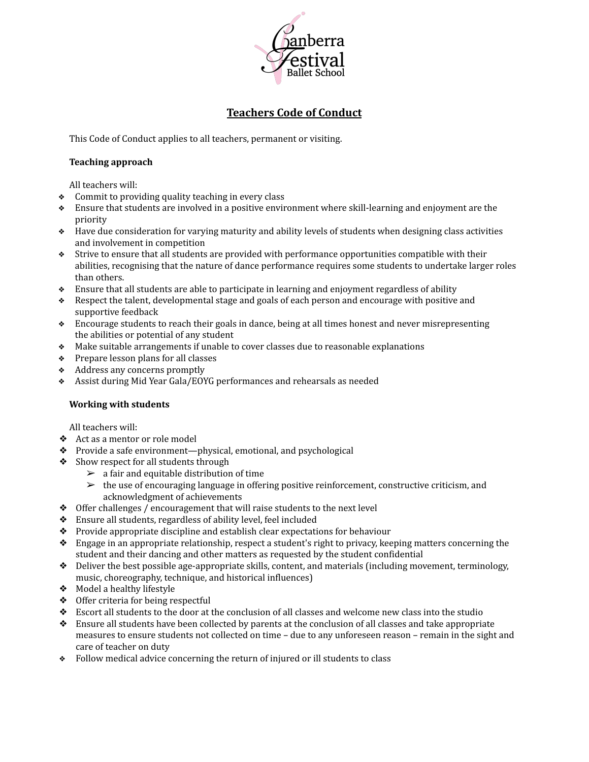

# **Teachers Code of Conduct**

This Code of Conduct applies to all teachers, permanent or visiting.

#### **Teaching approach**

All teachers will:

- ❖ Commit to providing quality teaching in every class
- ❖ Ensure that students are involved in a positive environment where skill-learning and enjoyment are the priority
- ❖ Have due consideration for varying maturity and ability levels of students when designing class activities and involvement in competition
- ❖ Strive to ensure that all students are provided with performance opportunities compatible with their abilities, recognising that the nature of dance performance requires some students to undertake larger roles than others.
- ❖ Ensure that all students are able to participate in learning and enjoyment regardless of ability
- ❖ Respect the talent, developmental stage and goals of each person and encourage with positive and supportive feedback
- ❖ Encourage students to reach their goals in dance, being at all times honest and never misrepresenting the abilities or potential of any student
- ❖ Make suitable arrangements if unable to cover classes due to reasonable explanations
- ❖ Prepare lesson plans for all classes
- ❖ Address any concerns promptly
- ❖ Assist during Mid Year Gala/EOYG performances and rehearsals as needed

## **Working with students**

All teachers will:

- ❖ Act as a mentor or role model
- ❖ Provide a safe environment—physical, emotional, and psychological
- ❖ Show respect for all students through
	- $\geq$  a fair and equitable distribution of time
	- $\geq$  the use of encouraging language in offering positive reinforcement, constructive criticism, and acknowledgment of achievements
- ❖ Offer challenges / encouragement that will raise students to the next level
- ❖ Ensure all students, regardless of ability level, feel included
- ❖ Provide appropriate discipline and establish clear expectations for behaviour
- ❖ Engage in an appropriate relationship, respect a student's right to privacy, keeping matters concerning the student and their dancing and other matters as requested by the student confidential
- ❖ Deliver the best possible age-appropriate skills, content, and materials (including movement, terminology, music, choreography, technique, and historical influences)
- ❖ Model a healthy lifestyle
- ❖ Offer criteria for being respectful
- ❖ Escort all students to the door at the conclusion of all classes and welcome new class into the studio
- ❖ Ensure all students have been collected by parents at the conclusion of all classes and take appropriate measures to ensure students not collected on time – due to any unforeseen reason – remain in the sight and care of teacher on duty
- ❖ Follow medical advice concerning the return of injured or ill students to class